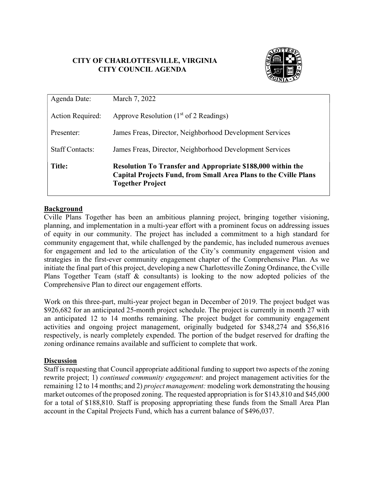# CITY OF CHARLOTTESVILLE, VIRGINIA CITY COUNCIL AGENDA



| Agenda Date:            | March 7, 2022                                                                                                                                                            |  |  |
|-------------------------|--------------------------------------------------------------------------------------------------------------------------------------------------------------------------|--|--|
| <b>Action Required:</b> | Approve Resolution $(1st$ of 2 Readings)                                                                                                                                 |  |  |
| Presenter:              | James Freas, Director, Neighborhood Development Services                                                                                                                 |  |  |
| <b>Staff Contacts:</b>  | James Freas, Director, Neighborhood Development Services                                                                                                                 |  |  |
| <b>Title:</b>           | <b>Resolution To Transfer and Appropriate \$188,000 within the</b><br><b>Capital Projects Fund, from Small Area Plans to the Cville Plans</b><br><b>Together Project</b> |  |  |

## **Background**

Cville Plans Together has been an ambitious planning project, bringing together visioning, planning, and implementation in a multi-year effort with a prominent focus on addressing issues of equity in our community. The project has included a commitment to a high standard for community engagement that, while challenged by the pandemic, has included numerous avenues for engagement and led to the articulation of the City's community engagement vision and strategies in the first-ever community engagement chapter of the Comprehensive Plan. As we initiate the final part of this project, developing a new Charlottesville Zoning Ordinance, the Cville Plans Together Team (staff & consultants) is looking to the now adopted policies of the Comprehensive Plan to direct our engagement efforts.

Work on this three-part, multi-year project began in December of 2019. The project budget was \$926,682 for an anticipated 25-month project schedule. The project is currently in month 27 with an anticipated 12 to 14 months remaining. The project budget for community engagement activities and ongoing project management, originally budgeted for \$348,274 and \$56,816 respectively, is nearly completely expended. The portion of the budget reserved for drafting the zoning ordinance remains available and sufficient to complete that work.

## **Discussion**

Staff is requesting that Council appropriate additional funding to support two aspects of the zoning rewrite project; 1) *continued community engagement*: and project management activities for the remaining 12 to 14 months; and 2) *project management*: modeling work demonstrating the housing market outcomes of the proposed zoning. The requested appropriation is for \$143,810 and \$45,000 for a total of \$188,810. Staff is proposing appropriating these funds from the Small Area Plan account in the Capital Projects Fund, which has a current balance of \$496,037.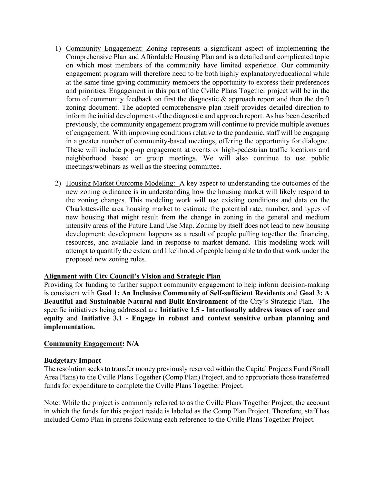- 1) Community Engagement: Zoning represents a significant aspect of implementing the Comprehensive Plan and Affordable Housing Plan and is a detailed and complicated topic on which most members of the community have limited experience. Our community engagement program will therefore need to be both highly explanatory/educational while at the same time giving community members the opportunity to express their preferences and priorities. Engagement in this part of the Cville Plans Together project will be in the form of community feedback on first the diagnostic  $\&$  approach report and then the draft zoning document. The adopted comprehensive plan itself provides detailed direction to inform the initial development of the diagnostic and approach report. As has been described previously, the community engagement program will continue to provide multiple avenues of engagement. With improving conditions relative to the pandemic, staff will be engaging in a greater number of community-based meetings, offering the opportunity for dialogue. These will include pop-up engagement at events or high-pedestrian traffic locations and neighborhood based or group meetings. We will also continue to use public meetings/webinars as well as the steering committee.
- 2) Housing Market Outcome Modeling: A key aspect to understanding the outcomes of the new zoning ordinance is in understanding how the housing market will likely respond to the zoning changes. This modeling work will use existing conditions and data on the Charlottesville area housing market to estimate the potential rate, number, and types of new housing that might result from the change in zoning in the general and medium intensity areas of the Future Land Use Map. Zoning by itself does not lead to new housing development; development happens as a result of people pulling together the financing, resources, and available land in response to market demand. This modeling work will attempt to quantify the extent and likelihood of people being able to do that work under the proposed new zoning rules.

## Alignment with City Council's Vision and Strategic Plan

Providing for funding to further support community engagement to help inform decision-making is consistent with Goal 1: An Inclusive Community of Self-sufficient Residents and Goal 3: A Beautiful and Sustainable Natural and Built Environment of the City's Strategic Plan. The specific initiatives being addressed are Initiative 1.5 - Intentionally address issues of race and equity and Initiative 3.1 - Engage in robust and context sensitive urban planning and implementation.

## Community Engagement: N/A

## Budgetary Impact

The resolution seeks to transfer money previously reserved within the Capital Projects Fund (Small Area Plans) to the Cville Plans Together (Comp Plan) Project, and to appropriate those transferred funds for expenditure to complete the Cville Plans Together Project.

Note: While the project is commonly referred to as the Cville Plans Together Project, the account in which the funds for this project reside is labeled as the Comp Plan Project. Therefore, staff has included Comp Plan in parens following each reference to the Cville Plans Together Project.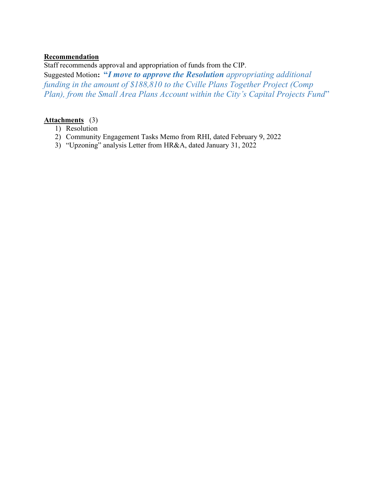## Recommendation

Staff recommends approval and appropriation of funds from the CIP.

Suggested Motion: "I move to approve the Resolution appropriating additional funding in the amount of \$188,810 to the Cville Plans Together Project (Comp Plan), from the Small Area Plans Account within the City's Capital Projects Fund"

## Attachments (3)

- 1) Resolution
- 2) Community Engagement Tasks Memo from RHI, dated February 9, 2022
- 3) "Upzoning" analysis Letter from HR&A, dated January 31, 2022